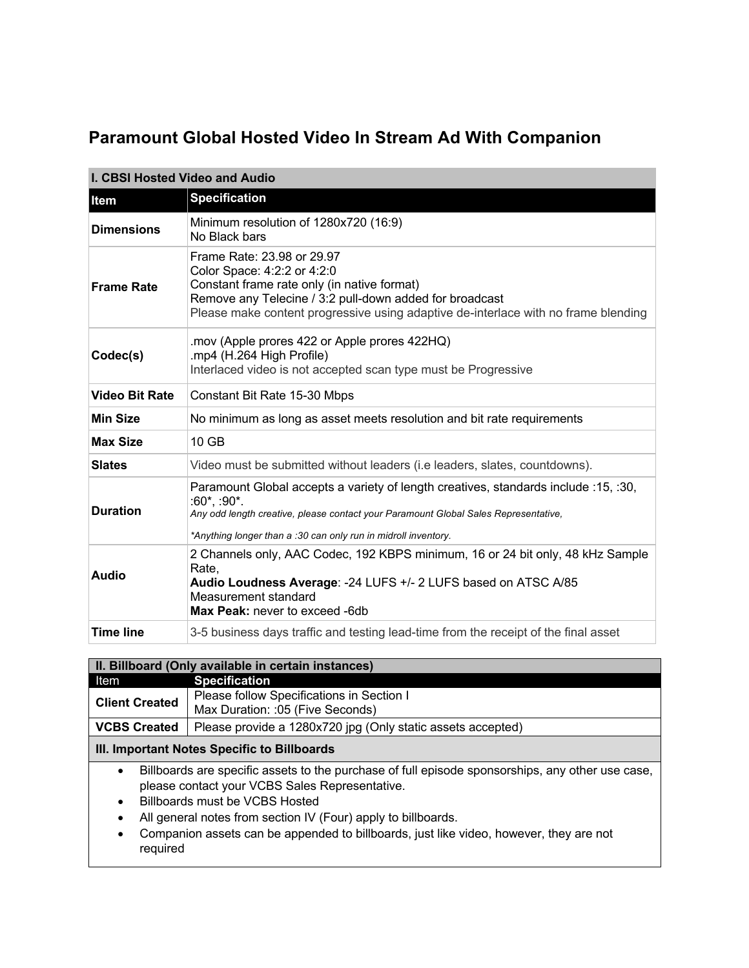## **Paramount Global Hosted Video In Stream Ad With Companion**

| <b>I. CBSI Hosted Video and Audio</b> |                                                                                                                                                                                                                                                                      |  |
|---------------------------------------|----------------------------------------------------------------------------------------------------------------------------------------------------------------------------------------------------------------------------------------------------------------------|--|
| <b>Item</b>                           | <b>Specification</b>                                                                                                                                                                                                                                                 |  |
| <b>Dimensions</b>                     | Minimum resolution of 1280x720 (16:9)<br>No Black bars                                                                                                                                                                                                               |  |
| <b>Frame Rate</b>                     | Frame Rate: 23.98 or 29.97<br>Color Space: 4:2:2 or 4:2:0<br>Constant frame rate only (in native format)<br>Remove any Telecine / 3:2 pull-down added for broadcast<br>Please make content progressive using adaptive de-interlace with no frame blending            |  |
| Codec(s)                              | .mov (Apple prores 422 or Apple prores 422HQ)<br>.mp4 (H.264 High Profile)<br>Interlaced video is not accepted scan type must be Progressive                                                                                                                         |  |
| <b>Video Bit Rate</b>                 | Constant Bit Rate 15-30 Mbps                                                                                                                                                                                                                                         |  |
| <b>Min Size</b>                       | No minimum as long as asset meets resolution and bit rate requirements                                                                                                                                                                                               |  |
| <b>Max Size</b>                       | 10 GB                                                                                                                                                                                                                                                                |  |
| <b>Slates</b>                         | Video must be submitted without leaders (i.e leaders, slates, countdowns).                                                                                                                                                                                           |  |
| <b>Duration</b>                       | Paramount Global accepts a variety of length creatives, standards include :15, :30,<br>$:60^*$ , :90 $^*$ .<br>Any odd length creative, please contact your Paramount Global Sales Representative,<br>*Anything longer than a :30 can only run in midroll inventory. |  |
| <b>Audio</b>                          | 2 Channels only, AAC Codec, 192 KBPS minimum, 16 or 24 bit only, 48 kHz Sample<br>Rate,<br>Audio Loudness Average: - 24 LUFS +/- 2 LUFS based on ATSC A/85<br>Measurement standard<br>Max Peak: never to exceed -6db                                                 |  |
| <b>Time line</b>                      | 3-5 business days traffic and testing lead-time from the receipt of the final asset                                                                                                                                                                                  |  |

| II. Billboard (Only available in certain instances) |                                                                               |  |
|-----------------------------------------------------|-------------------------------------------------------------------------------|--|
| Item                                                | Specification                                                                 |  |
| <b>Client Created</b>                               | Please follow Specifications in Section I<br>Max Duration: :05 (Five Seconds) |  |
| <b>VCBS Created</b>                                 | Please provide a 1280x720 jpg (Only static assets accepted)                   |  |
| $\mathbf{r}$                                        |                                                                               |  |

## **III. Important Notes Specific to Billboards**

- Billboards are specific assets to the purchase of full episode sponsorships, any other use case, please contact your VCBS Sales Representative.
- Billboards must be VCBS Hosted
- All general notes from section IV (Four) apply to billboards.
- Companion assets can be appended to billboards, just like video, however, they are not required